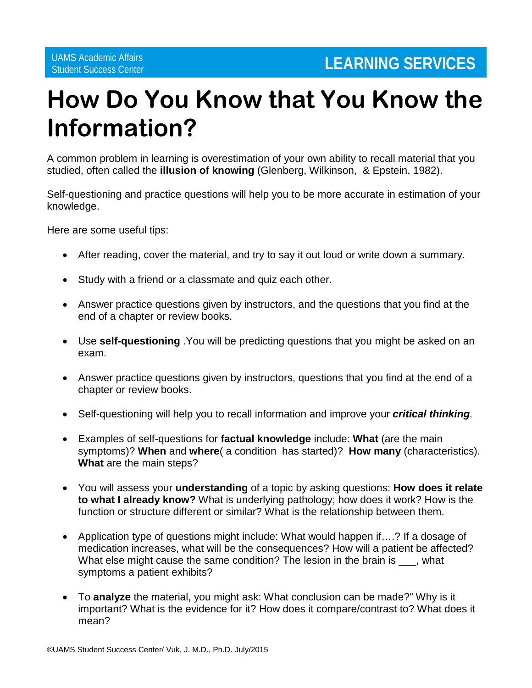## **How Do You Know that You Know the Information?**

A common problem in learning is overestimation of your own ability to recall material that you studied, often called the **illusion of knowing** (Glenberg, Wilkinson, & Epstein, 1982).

Self-questioning and practice questions will help you to be more accurate in estimation of your knowledge.

Here are some useful tips:

- After reading, cover the material, and try to say it out loud or write down a summary.
- Study with a friend or a classmate and quiz each other.
- Answer practice questions given by instructors, and the questions that you find at the end of a chapter or review books.
- Use **self-questioning** .You will be predicting questions that you might be asked on an exam.
- Answer practice questions given by instructors, questions that you find at the end of a chapter or review books.
- Self-questioning will help you to recall information and improve your *critical thinking.*
- Examples of self-questions for **factual knowledge** include: **What** (are the main symptoms)? **When** and **where**( a condition has started)? **How many** (characteristics). **What** are the main steps?
- You will assess your **understanding** of a topic by asking questions: **How does it relate to what I already know?** What is underlying pathology; how does it work? How is the function or structure different or similar? What is the relationship between them.
- Application type of questions might include: What would happen if….? If a dosage of medication increases, what will be the consequences? How will a patient be affected? What else might cause the same condition? The lesion in the brain is \_\_\_, what symptoms a patient exhibits?
- To **analyze** the material, you might ask: What conclusion can be made?" Why is it important? What is the evidence for it? How does it compare/contrast to? What does it mean?